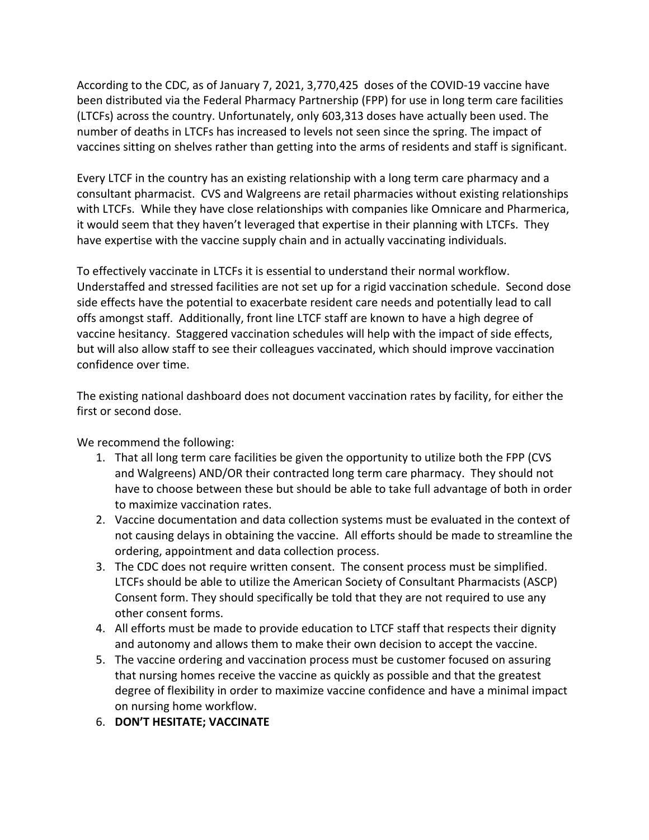According to the CDC, as of January 7, 2021, 3,770,425 doses of the COVID-19 vaccine have been distributed via the Federal Pharmacy Partnership (FPP) for use in long term care facilities (LTCFs) across the country. Unfortunately, only 603,313 doses have actually been used. The number of deaths in LTCFs has increased to levels not seen since the spring. The impact of vaccines sitting on shelves rather than getting into the arms of residents and staff is significant.

Every LTCF in the country has an existing relationship with a long term care pharmacy and a consultant pharmacist. CVS and Walgreens are retail pharmacies without existing relationships with LTCFs. While they have close relationships with companies like Omnicare and Pharmerica, it would seem that they haven't leveraged that expertise in their planning with LTCFs. They have expertise with the vaccine supply chain and in actually vaccinating individuals.

To effectively vaccinate in LTCFs it is essential to understand their normal workflow. Understaffed and stressed facilities are not set up for a rigid vaccination schedule. Second dose side effects have the potential to exacerbate resident care needs and potentially lead to call offs amongst staff. Additionally, front line LTCF staff are known to have a high degree of vaccine hesitancy. Staggered vaccination schedules will help with the impact of side effects, but will also allow staff to see their colleagues vaccinated, which should improve vaccination confidence over time.

The existing national dashboard does not document vaccination rates by facility, for either the first or second dose.

We recommend the following:

- 1. That all long term care facilities be given the opportunity to utilize both the FPP (CVS and Walgreens) AND/OR their contracted long term care pharmacy. They should not have to choose between these but should be able to take full advantage of both in order to maximize vaccination rates.
- 2. Vaccine documentation and data collection systems must be evaluated in the context of not causing delays in obtaining the vaccine. All efforts should be made to streamline the ordering, appointment and data collection process.
- 3. The CDC does not require written consent. The consent process must be simplified. LTCFs should be able to utilize the American Society of Consultant Pharmacists (ASCP) Consent form. They should specifically be told that they are not required to use any other consent forms.
- 4. All efforts must be made to provide education to LTCF staff that respects their dignity and autonomy and allows them to make their own decision to accept the vaccine.
- 5. The vaccine ordering and vaccination process must be customer focused on assuring that nursing homes receive the vaccine as quickly as possible and that the greatest degree of flexibility in order to maximize vaccine confidence and have a minimal impact on nursing home workflow.
- 6. **DON'T HESITATE; VACCINATE**